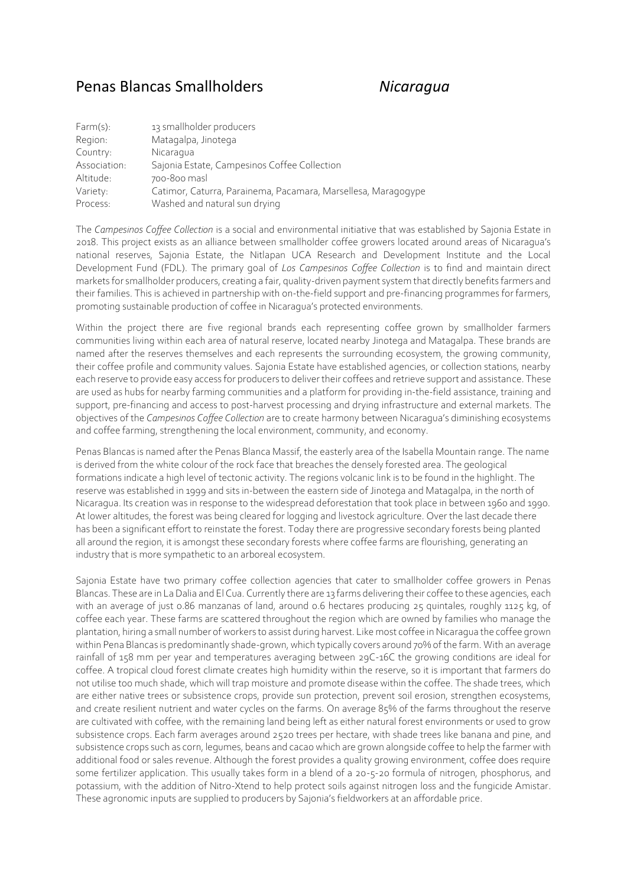## Penas Blancas Smallholders *Nicaragua*

| Farm(s):     | 13 smallholder producers                                      |
|--------------|---------------------------------------------------------------|
| Region:      | Matagalpa, Jinotega                                           |
| Country:     | Nicaragua                                                     |
| Association: | Sajonia Estate, Campesinos Coffee Collection                  |
| Altitude:    | 700-800 masl                                                  |
| Variety:     | Catimor, Caturra, Parainema, Pacamara, Marsellesa, Maragogype |
| Process:     | Washed and natural sun drying                                 |

The *Campesinos Coffee Collection* is a social and environmental initiative that was established by Sajonia Estate in 2018. This project exists as an alliance between smallholder coffee growers located around areas of Nicaragua's national reserves, Sajonia Estate, the Nitlapan UCA Research and Development Institute and the Local Development Fund (FDL). The primary goal of *Los Campesinos Coffee Collection* is to find and maintain direct markets for smallholder producers, creating a fair, quality-driven payment system that directly benefits farmers and their families. This is achieved in partnership with on-the-field support and pre-financing programmes for farmers, promoting sustainable production of coffee in Nicaragua's protected environments.

Within the project there are five regional brands each representing coffee grown by smallholder farmers communities living within each area of natural reserve, located nearby Jinotega and Matagalpa. These brands are named after the reserves themselves and each represents the surrounding ecosystem, the growing community, their coffee profile and community values. Sajonia Estate have established agencies, or collection stations, nearby each reserve to provide easy access for producers to deliver their coffees and retrieve support and assistance. These are used as hubs for nearby farming communities and a platform for providing in-the-field assistance, training and support, pre-financing and access to post-harvest processing and drying infrastructure and external markets. The objectives of the *Campesinos Coffee Collection* are to create harmony between Nicaragua's diminishing ecosystems and coffee farming, strengthening the local environment, community, and economy.

Penas Blancas is named after the Penas Blanca Massif, the easterly area of the Isabella Mountain range. The name is derived from the white colour of the rock face that breaches the densely forested area. The geological formations indicate a high level of tectonic activity. The regions volcanic link is to be found in the highlight. The reserve was established in 1999 and sits in-between the eastern side of Jinotega and Matagalpa, in the north of Nicaragua. Its creation was in response to the widespread deforestation that took place in between 1960 and 1990. At lower altitudes, the forest was being cleared for logging and livestock agriculture. Over the last decade there has been a significant effort to reinstate the forest. Today there are progressive secondary forests being planted all around the region, it is amongst these secondary forests where coffee farms are flourishing, generating an industry that is more sympathetic to an arboreal ecosystem.

Sajonia Estate have two primary coffee collection agencies that cater to smallholder coffee growers in Penas Blancas. These are in La Dalia and El Cua. Currently there are 13 farms delivering their coffee to these agencies, each with an average of just 0.86 manzanas of land, around 0.6 hectares producing 25 quintales, roughly 1125 kg, of coffee each year. These farms are scattered throughout the region which are owned by families who manage the plantation, hiring a small number of workers to assist during harvest. Like most coffee in Nicaragua the coffee grown within Pena Blancasis predominantly shade-grown, which typically covers around 70% of the farm. With an average rainfall of 158 mm per year and temperatures averaging between 29C-16C the growing conditions are ideal for coffee. A tropical cloud forest climate creates high humidity within the reserve, so it is important that farmers do not utilise too much shade, which will trap moisture and promote disease within the coffee. The shade trees, which are either native trees or subsistence crops, provide sun protection, prevent soil erosion, strengthen ecosystems, and create resilient nutrient and water cycles on the farms. On average 85% of the farms throughout the reserve are cultivated with coffee, with the remaining land being left as either natural forest environments or used to grow subsistence crops. Each farm averages around 2520 trees per hectare, with shade trees like banana and pine, and subsistence crops such as corn, legumes, beans and cacao which are grown alongside coffee to help the farmer with additional food or sales revenue. Although the forest provides a quality growing environment, coffee does require some fertilizer application. This usually takes form in a blend of a 20-5-20 formula of nitrogen, phosphorus, and potassium, with the addition of Nitro-Xtend to help protect soils against nitrogen loss and the fungicide Amistar. These agronomic inputs are supplied to producers by Sajonia's fieldworkers at an affordable price.